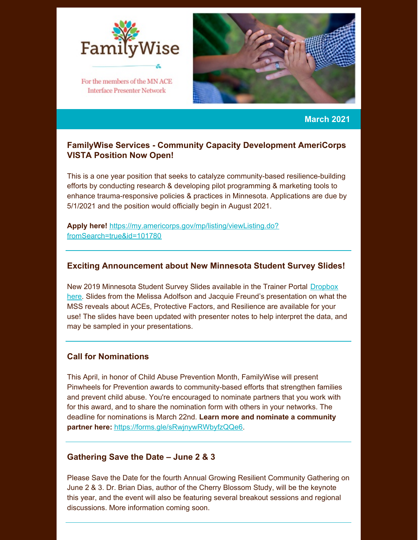

For the members of the MN ACE **Interface Presenter Network** 



**March 2021**

# **FamilyWise Services - Community Capacity Development AmeriCorps VISTA Position Now Open!**

This is a one year position that seeks to catalyze community-based resilience-building efforts by conducting research & developing pilot programming & marketing tools to enhance trauma-responsive policies & practices in Minnesota. Applications are due by 5/1/2021 and the position would officially begin in August 2021.

**Apply here!** [https://my.americorps.gov/mp/listing/viewListing.do?](https://my.americorps.gov/mp/listing/viewListing.do?fromSearch=true&id=101780) fromSearch=true&id=101780

### **Exciting Announcement about New Minnesota Student Survey Slides!**

New 2019 Minnesota Student Survey Slides available in the Trainer Portal Dropbox here. Slides from the Melissa Adolfson and Jacquie Freund's [presentation](https://www.dropbox.com/sh/vo2apq46qu0sx1k/AABCPQgAGjh-gPI4ZS-X6RPGa?dl=0) on what the MSS reveals about ACEs, Protective Factors, and Resilience are available for your use! The slides have been updated with presenter notes to help interpret the data, and may be sampled in your presentations.

## **Call for Nominations**

This April, in honor of Child Abuse Prevention Month, FamilyWise will present Pinwheels for Prevention awards to community-based efforts that strengthen families and prevent child abuse. You're encouraged to nominate partners that you work with for this award, and to share the nomination form with others in your networks. The deadline for nominations is March 22nd. **Learn more and nominate a community partner here:** <https://forms.gle/sRwjnywRWbyfzQQe6>.

#### **Gathering Save the Date – June 2 & 3**

Please Save the Date for the fourth Annual Growing Resilient Community Gathering on June 2 & 3. Dr. Brian Dias, author of the Cherry Blossom Study, will be the keynote this year, and the event will also be featuring several breakout sessions and regional discussions. More information coming soon.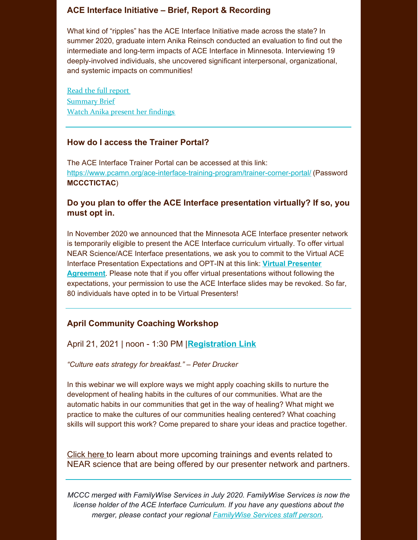# **ACE Interface Initiative – Brief, Report & Recording**

What kind of "ripples" has the ACE Interface Initiative made across the state? In summer 2020, graduate intern Anika Reinsch conducted an evaluation to find out the intermediate and long-term impacts of ACE Interface in Minnesota. Interviewing 19 deeply-involved individuals, she uncovered significant interpersonal, organizational, and systemic impacts on communities!

Read the full [report](https://www.pcamn.org/wp-content/uploads/2021/03/Full-Report-Evaluation-of-ACE-Initiative-2020-FINAL.pdf) **[Summary](https://www.pcamn.org/wp-content/uploads/2021/03/Executive-Summary-Evaluation-of-ACE-Initiative-2020.pdf) Brief** Watch Anika present her [findings](https://zoom.us/rec/share/oZXRUmC87OwRZysTIqj8NVJkKlEUVkCoQ82UWIY_VWWsLb16J5No69XyJjRAvQ4.CsxFTPdcZ8aJrTQS)

#### **How do I access the Trainer Portal?**

The ACE Interface Trainer Portal can be accessed at this link: <https://www.pcamn.org/ace-interface-training-program/trainer-corner-portal/> (Password **MCCCTICTAC**)

## **Do you plan to offer the ACE Interface presentation virtually? If so, you must opt in.**

In November 2020 we announced that the Minnesota ACE Interface presenter network is temporarily eligible to present the ACE Interface curriculum virtually. To offer virtual NEAR Science/ACE Interface presentations, we ask you to commit to the Virtual ACE Interface Presentation Expectations and OPT-IN at this link: **Virtual Presenter Agreement**. Please note that if you offer virtual [presentations](http://r20.rs6.net/tn.jsp?f=001W5VpVftagovm7n2lugmv2mjzBQBvxI8T28NQmdyjxnFawo85725LrP6KdZti9ynJN9j9JQWL4tuO9MSbNdvm26O7FZJKwYkEiP5d08w4r7U9GhEhw9U00zRmSb4GIGiD_zBPq9haGnhPnvBjgy5VJClQQq7sxtGjPNH8G1pMvVG3k7yMmRRIDQ==&c=fFcYMIE3P7pBL4Wr4rgTVZ3wIxrxWQEhP-7TILwD5jq03rJowjUGmw==&ch=MkZXPrNyLjb9u7j0-I-8TlGGn4V3Ra8v5C8YvVkgxFz2DTe608GOJw==) without following the expectations, your permission to use the ACE Interface slides may be revoked. So far, 80 individuals have opted in to be Virtual Presenters!

## **April Community Coaching Workshop**

April 21, 2021 | noon - 1:30 PM |**[Registration](https://zoom.us/meeting/register/tJ0lcumsqjwrHNUMRyMWhby9olQ4Y-R9JfzB) Link**

*"Culture eats strategy for breakfast." – Peter Drucker*

In this webinar we will explore ways we might apply coaching skills to nurture the development of healing habits in the cultures of our communities. What are the automatic habits in our communities that get in the way of healing? What might we practice to make the cultures of our communities healing centered? What coaching skills will support this work? Come prepared to share your ideas and practice together.

[Click](https://www.pcamn.org/presenter-network-upcoming-trainings-and-events/) here to learn about more upcoming trainings and events related to NEAR science that are being offered by our presenter network and partners.

*MCCC merged with FamilyWise Services in July 2020. FamilyWise Services is now the license holder of the ACE Interface Curriculum. If you have any questions about the merger, please contact your regional [FamilyWise](https://www.pcamn.org/wp-content/uploads/2020/05/2020-Regional-Reservations-Map-070520.pdf) Services staff person.*